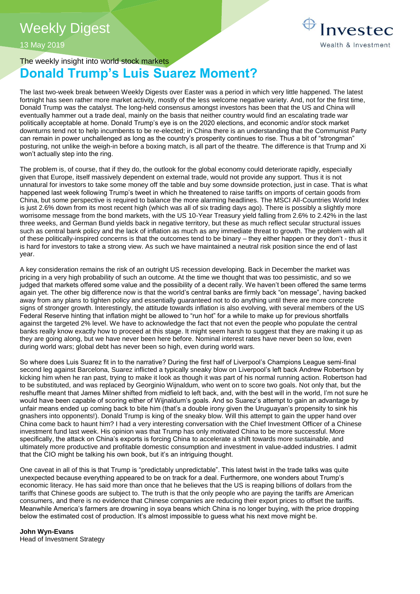Weekly Digest





# The weekly insight into world stock markets **Donald Trump's Luis Suarez Moment?**

The last two-week break between Weekly Digests over Easter was a period in which very little happened. The latest fortnight has seen rather more market activity, mostly of the less welcome negative variety. And, not for the first time, Donald Trump was the catalyst. The long-held consensus amongst investors has been that the US and China will eventually hammer out a trade deal, mainly on the basis that neither country would find an escalating trade war politically acceptable at home. Donald Trump's eye is on the 2020 elections, and economic and/or stock market downturns tend not to help incumbents to be re-elected; in China there is an understanding that the Communist Party can remain in power unchallenged as long as the country's prosperity continues to rise. Thus a bit of "strongman" posturing, not unlike the weigh-in before a boxing match, is all part of the theatre. The difference is that Trump and Xi won't actually step into the ring.

The problem is, of course, that if they do, the outlook for the global economy could deteriorate rapidly, especially given that Europe, itself massively dependent on external trade, would not provide any support. Thus it is not unnatural for investors to take some money off the table and buy some downside protection, just in case. That is what happened last week following Trump's tweet in which he threatened to raise tariffs on imports of certain goods from China, but some perspective is required to balance the more alarming headlines. The MSCI All-Countries World Index is just 2.6% down from its most recent high (which was all of six trading days ago). There is possibly a slightly more worrisome message from the bond markets, with the US 10-Year Treasury yield falling from 2.6% to 2.42% in the last three weeks, and German Bund yields back in negative territory, but these as much reflect secular structural issues such as central bank policy and the lack of inflation as much as any immediate threat to growth. The problem with all of these politically-inspired concerns is that the outcomes tend to be binary – they either happen or they don't - thus it is hard for investors to take a strong view. As such we have maintained a neutral risk position since the end of last year.

A key consideration remains the risk of an outright US recession developing. Back in December the market was pricing in a very high probability of such an outcome. At the time we thought that was too pessimistic, and so we judged that markets offered some value and the possibility of a decent rally. We haven't been offered the same terms again yet. The other big difference now is that the world's central banks are firmly back "on message", having backed away from any plans to tighten policy and essentially guaranteed not to do anything until there are more concrete signs of stronger growth. Interestingly, the attitude towards inflation is also evolving, with several members of the US Federal Reserve hinting that inflation might be allowed to "run hot" for a while to make up for previous shortfalls against the targeted 2% level. We have to acknowledge the fact that not even the people who populate the central banks really know exactly how to proceed at this stage. It might seem harsh to suggest that they are making it up as they are going along, but we have never been here before. Nominal interest rates have never been so low, even during world wars; global debt has never been so high, even during world wars.

So where does Luis Suarez fit in to the narrative? During the first half of Liverpool's Champions League semi-final second leg against Barcelona, Suarez inflicted a typically sneaky blow on Liverpool's left back Andrew Robertson by kicking him when he ran past, trying to make it look as though it was part of his normal running action. Robertson had to be substituted, and was replaced by Georginio Wijnaldum, who went on to score two goals. Not only that, but the reshuffle meant that James Milner shifted from midfield to left back, and, with the best will in the world, I'm not sure he would have been capable of scoring either of Wijnaldum's goals. And so Suarez's attempt to gain an advantage by unfair means ended up coming back to bite him (that's a double irony given the Uruguayan's propensity to sink his gnashers into opponents!). Donald Trump is king of the sneaky blow. Will this attempt to gain the upper hand over China come back to haunt him? I had a very interesting conversation with the Chief Investment Officer of a Chinese investment fund last week. His opinion was that Trump has only motivated China to be more successful. More specifically, the attack on China's exports is forcing China to accelerate a shift towards more sustainable, and ultimately more productive and profitable domestic consumption and investment in value-added industries. I admit that the CIO might be talking his own book, but it's an intriguing thought.

One caveat in all of this is that Trump is "predictably unpredictable". This latest twist in the trade talks was quite unexpected because everything appeared to be on track for a deal. Furthermore, one wonders about Trump's economic literacy. He has said more than once that he believes that the US is reaping billions of dollars from the tariffs that Chinese goods are subject to. The truth is that the only people who are paying the tariffs are American consumers, and there is no evidence that Chinese companies are reducing their export prices to offset the tariffs. Meanwhile America's farmers are drowning in soya beans which China is no longer buying, with the price dropping below the estimated cost of production. It's almost impossible to guess what his next move might be.

**John Wyn-Evans**  Head of Investment Strategy